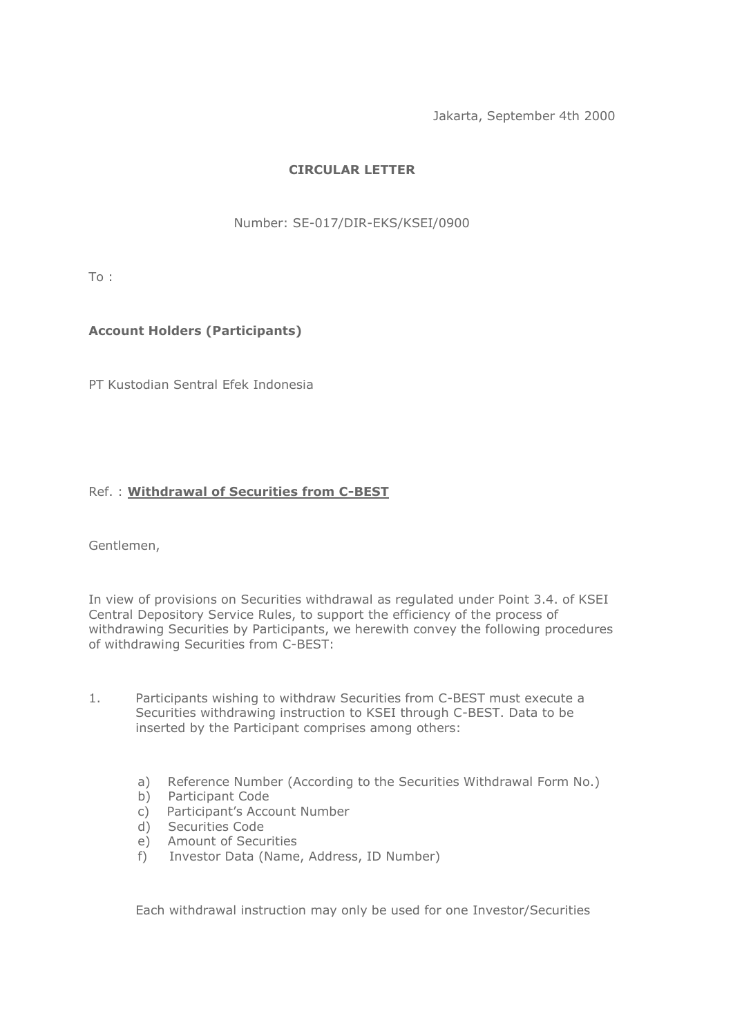Jakarta, September 4th 2000

## **CIRCULAR LETTER**

Number: SE-017/DIR-EKS/KSEI/0900

To :

## **Account Holders (Participants)**

PT Kustodian Sentral Efek Indonesia

## Ref. : **Withdrawal of Securities from C-BEST**

Gentlemen,

In view of provisions on Securities withdrawal as regulated under Point 3.4. of KSEI Central Depository Service Rules, to support the efficiency of the process of withdrawing Securities by Participants, we herewith convey the following procedures of withdrawing Securities from C-BEST:

- 1. Participants wishing to withdraw Securities from C-BEST must execute a Securities withdrawing instruction to KSEI through C-BEST. Data to be inserted by the Participant comprises among others:
	- a) Reference Number (According to the Securities Withdrawal Form No.)
	- b) Participant Code
	- c) Participant's Account Number
	- d) Securities Code
	- e) Amount of Securities
	- f) Investor Data (Name, Address, ID Number)

Each withdrawal instruction may only be used for one Investor/Securities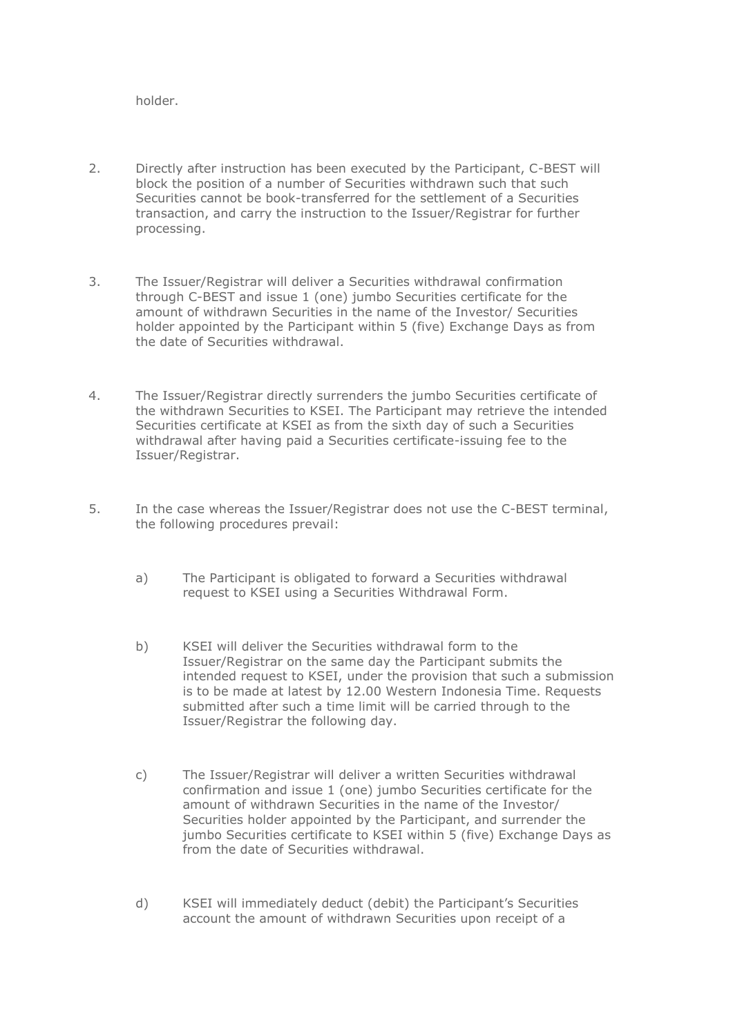holder.

- 2. Directly after instruction has been executed by the Participant, C-BEST will block the position of a number of Securities withdrawn such that such Securities cannot be book-transferred for the settlement of a Securities transaction, and carry the instruction to the Issuer/Registrar for further processing.
- 3. The Issuer/Registrar will deliver a Securities withdrawal confirmation through C-BEST and issue 1 (one) jumbo Securities certificate for the amount of withdrawn Securities in the name of the Investor/ Securities holder appointed by the Participant within 5 (five) Exchange Days as from the date of Securities withdrawal.
- 4. The Issuer/Registrar directly surrenders the jumbo Securities certificate of the withdrawn Securities to KSEI. The Participant may retrieve the intended Securities certificate at KSEI as from the sixth day of such a Securities withdrawal after having paid a Securities certificate-issuing fee to the Issuer/Registrar.
- 5. In the case whereas the Issuer/Registrar does not use the C-BEST terminal, the following procedures prevail:
	- a) The Participant is obligated to forward a Securities withdrawal request to KSEI using a Securities Withdrawal Form.
	- b) KSEI will deliver the Securities withdrawal form to the Issuer/Registrar on the same day the Participant submits the intended request to KSEI, under the provision that such a submission is to be made at latest by 12.00 Western Indonesia Time. Requests submitted after such a time limit will be carried through to the Issuer/Registrar the following day.
	- c) The Issuer/Registrar will deliver a written Securities withdrawal confirmation and issue 1 (one) jumbo Securities certificate for the amount of withdrawn Securities in the name of the Investor/ Securities holder appointed by the Participant, and surrender the jumbo Securities certificate to KSEI within 5 (five) Exchange Days as from the date of Securities withdrawal.
	- d) KSEI will immediately deduct (debit) the Participant's Securities account the amount of withdrawn Securities upon receipt of a